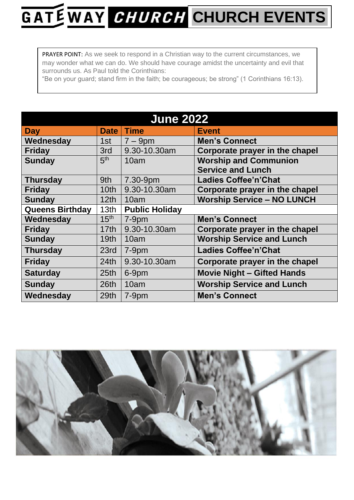## GATE WAY CHURCH CHURCH EVENTS

PRAYER POINT: As we seek to respond in a Christian way to the current circumstances, we may wonder what we can do. We should have courage amidst the uncertainty and evil that surrounds us. As Paul told the Corinthians:

"Be on your guard; stand firm in the faith; be courageous; be strong" (1 Corinthians 16:13).

| <b>June 2022</b>       |                  |                       |                                   |  |  |
|------------------------|------------------|-----------------------|-----------------------------------|--|--|
| Day                    | <b>Date</b>      | <b>Time</b>           | <b>Event</b>                      |  |  |
| Wednesday              | 1st              | $7 - 9$ pm            | <b>Men's Connect</b>              |  |  |
| <b>Friday</b>          | 3rd              | 9.30-10.30am          | Corporate prayer in the chapel    |  |  |
| <b>Sunday</b>          | 5 <sup>th</sup>  | 10am                  | <b>Worship and Communion</b>      |  |  |
|                        |                  |                       | <b>Service and Lunch</b>          |  |  |
| <b>Thursday</b>        | 9th              | 7.30-9pm              | <b>Ladies Coffee'n'Chat</b>       |  |  |
| <b>Friday</b>          | 10 <sub>th</sub> | 9.30-10.30am          | Corporate prayer in the chapel    |  |  |
| <b>Sunday</b>          | 12th             | 10am                  | <b>Worship Service - NO LUNCH</b> |  |  |
| <b>Queens Birthday</b> | 13 <sub>th</sub> | <b>Public Holiday</b> |                                   |  |  |
| Wednesday              | 15 <sup>th</sup> | $7-9pm$               | <b>Men's Connect</b>              |  |  |
| <b>Friday</b>          | 17th             | 9.30-10.30am          | Corporate prayer in the chapel    |  |  |
| <b>Sunday</b>          | 19th             | 10am                  | <b>Worship Service and Lunch</b>  |  |  |
| <b>Thursday</b>        | 23rd             | $7-9$ pm              | <b>Ladies Coffee'n'Chat</b>       |  |  |
| <b>Friday</b>          | 24th             | 9.30-10.30am          | Corporate prayer in the chapel    |  |  |
| <b>Saturday</b>        | 25 <sub>th</sub> | 6-9pm                 | <b>Movie Night - Gifted Hands</b> |  |  |
| <b>Sunday</b>          | 26th             | 10am                  | <b>Worship Service and Lunch</b>  |  |  |
| Wednesday              | 29th             | $7-9$ pm              | <b>Men's Connect</b>              |  |  |